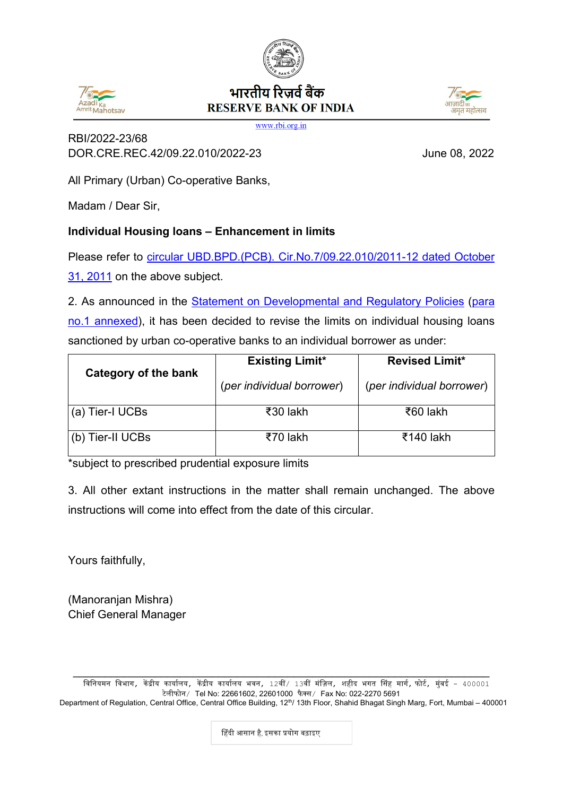## भारतीय रिजर्व बैंक **RESERVE BANK OF INDIA**

www.rbi.org.in

RBI/2022-23/68 DOR.CRE.REC.42/09.22.010/2022-23 June 08, 2022

All Primary (Urban) Co-operative Banks,

Madam / Dear Sir,

## **Individual Housing loans – Enhancement in limits**

Please refer to circular [UBD.BPD.\(PCB\). Cir.No.7/09.22.010/2011-12 dated October](https://www.rbi.org.in/Scripts/NotificationUser.aspx?Id=6784&Mode=0)  [31, 2011](https://www.rbi.org.in/Scripts/NotificationUser.aspx?Id=6784&Mode=0) on the above subject.

2. As announced in the [Statement on Developmental and Regulatory Policies](https://www.rbi.org.in/Scripts/BS_PressReleaseDisplay.aspx?prid=53831) [\(para](#page-1-0)  [no.1 annexed\)](#page-1-0), it has been decided to revise the limits on individual housing loans sanctioned by urban co-operative banks to an individual borrower as under:

| <b>Category of the bank</b> | <b>Existing Limit*</b>    | <b>Revised Limit*</b>     |
|-----------------------------|---------------------------|---------------------------|
|                             | (per individual borrower) | (per individual borrower) |
| (a) Tier-I UCBs             | ₹30 lakh                  | ₹60 lakh                  |
| (b) Tier-II UCBs            | ₹70 lakh                  | ₹140 lakh                 |

\*subject to prescribed prudential exposure limits

3. All other extant instructions in the matter shall remain unchanged. The above instructions will come into effect from the date of this circular.

Yours faithfully,

(Manoranjan Mishra) Chief General Manager

\_\_\_\_\_\_\_\_\_\_\_\_\_\_\_\_\_\_\_\_\_\_\_\_\_\_\_\_\_\_\_\_\_\_\_\_\_\_\_\_\_\_\_\_\_\_\_\_\_\_\_\_\_\_\_\_\_\_\_\_\_\_\_\_\_\_ विनियमन विभाग, केंद्रीय कार्यालय, केंद्रीय कार्यालय भवन, 12वीं/ 13वीं मंज़िल, शहीद भगत सिंह मार्ग, फोर्ट, मुंबई - 400001 टेलीफोन/ Tel No: 22661602, 22601000 फै क्स/ Fax No: 022-2270 5691 Department of Regulation, Central Office, Central Office Building, 12<sup>th</sup>/ 13th Floor, Shahid Bhagat Singh Marg, Fort, Mumbai – 400001